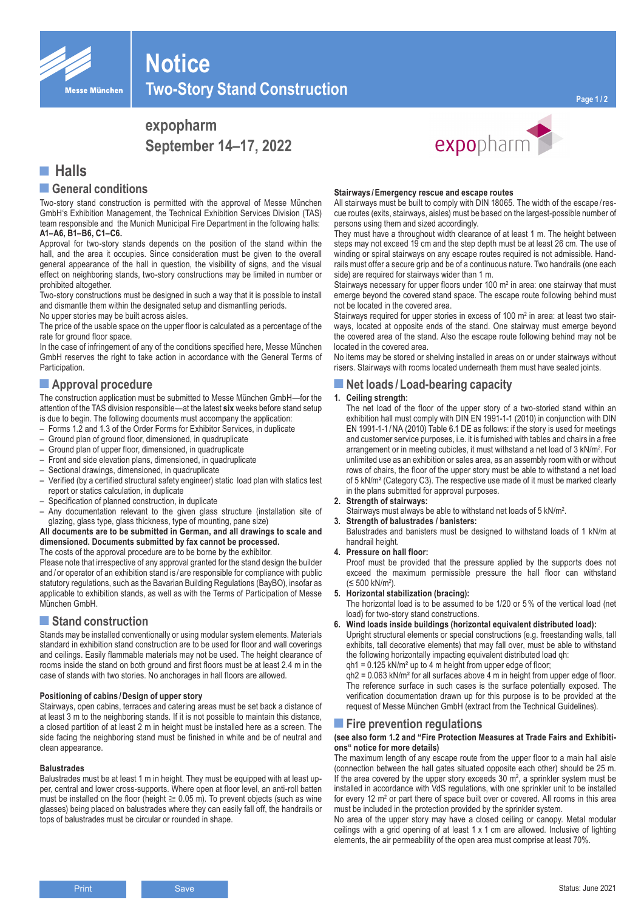

**Two-Story Stand Construction**

# **expopharm September 14–17, 2022**



## **■ Halls**

### **■General conditions**

Two-story stand construction is permitted with the approval of Messe München GmbH's Exhibition Management, the Technical Exhibition Services Division (TAS) team responsible and the Munich Municipal Fire Department in the following halls: **A1–A6, B1–B6, C1–C6.**

**Notice**

Approval for two-story stands depends on the position of the stand within the hall, and the area it occupies. Since consideration must be given to the overall general appearance of the hall in question, the visibility of signs, and the visual effect on neighboring stands, two-story constructions may be limited in number or prohibited altogether.

Two-story constructions must be designed in such a way that it is possible to install and dismantle them within the designated setup and dismantling periods.

No upper stories may be built across aisles.

The price of the usable space on the upper floor is calculated as a percentage of the rate for ground floor space.

In the case of infringement of any of the conditions specified here, Messe München GmbH reserves the right to take action in accordance with the General Terms of Participation.

## **■Approval procedure**

The construction application must be submitted to Messe München GmbH—for the attention of the TAS division responsible—at the latest **six** weeks before stand setup is due to begin. The following documents must accompany the application:

- Forms 1.2 and 1.3 of the Order Forms for Exhibitor Services, in duplicate
- Ground plan of ground floor, dimensioned, in quadruplicate
- Ground plan of upper floor, dimensioned, in quadruplicate
- Front and side elevation plans, dimensioned, in quadruplicate
- Sectional drawings, dimensioned, in quadruplicate
- Verified (by a certified structural safety engineer) static load plan with statics test report or statics calculation, in duplicate
- Specification of planned construction, in duplicate
- Any documentation relevant to the given glass structure (installation site of glazing, glass type, glass thickness, type of mounting, pane size)

**All documents are to be submitted in German, and all drawings to scale and dimensioned. Documents submitted by fax cannot be processed.**

The costs of the approval procedure are to be borne by the exhibitor.

Please note that irrespective of any approval granted for the stand design the builder and/or operator of an exhibition stand is/are responsible for compliance with public statutory regulations, such as the Bavarian Building Regulations (BayBO), insofar as applicable to exhibition stands, as well as with the Terms of Participation of Messe München GmbH.

## ■ Stand construction

Stands may be installed conventionally or using modular system elements. Materials standard in exhibition stand construction are to be used for floor and wall coverings and ceilings. Easily flammable materials may not be used. The height clearance of rooms inside the stand on both ground and first floors must be at least 2.4 m in the case of stands with two stories. No anchorages in hall floors are allowed.

### **Positioning of cabins /Design of upper story**

Stairways, open cabins, terraces and catering areas must be set back a distance of at least 3 m to the neighboring stands. If it is not possible to maintain this distance, a closed partition of at least 2 m in height must be installed here as a screen. The side facing the neighboring stand must be finished in white and be of neutral and clean appearance.

#### **Balustrades**

Balustrades must be at least 1 m in height. They must be equipped with at least upper, central and lower cross-supports. Where open at floor level, an anti-roll batten must be installed on the floor (height  $\geq 0.05$  m). To prevent objects (such as wine glasses) being placed on balustrades where they can easily fall off, the handrails or tops of balustrades must be circular or rounded in shape.

#### **Stairways /Emergency rescue and escape routes**

All stairways must be built to comply with DIN 18065. The width of the escape /rescue routes (exits, stairways, aisles) must be based on the largest-possible number of persons using them and sized accordingly.

expopharm

They must have a throughout width clearance of at least 1 m. The height between steps may not exceed 19 cm and the step depth must be at least 26 cm. The use of winding or spiral stairways on any escape routes required is not admissible. Handrails must offer a secure grip and be of a continuous nature. Two handrails (one each side) are required for stairways wider than 1 m.

Stairways necessary for upper floors under 100  $m<sup>2</sup>$  in area: one stairway that must emerge beyond the covered stand space. The escape route following behind must not be located in the covered area.

Stairways required for upper stories in excess of 100  $m<sup>2</sup>$  in area: at least two stairways, located at opposite ends of the stand. One stairway must emerge beyond the covered area of the stand. Also the escape route following behind may not be located in the covered area.

No items may be stored or shelving installed in areas on or under stairways without risers. Stairways with rooms located underneath them must have sealed joints.

### **■Net loads /Load-bearing capacity**

#### **1. Ceiling strength:**

The net load of the floor of the upper story of a two-storied stand within an exhibition hall must comply with DIN EN 1991-1-1 (2010) in conjunction with DIN EN 1991-1-1 /NA (2010) Table 6.1 DE as follows: if the story is used for meetings and customer service purposes, i.e. it is furnished with tables and chairs in a free arrangement or in meeting cubicles, it must withstand a net load of 3 kN/m2 . For unlimited use as an exhibition or sales area, as an assembly room with or without rows of chairs, the floor of the upper story must be able to withstand a net load of 5 kN/m² (Category C3). The respective use made of it must be marked clearly in the plans submitted for approval purposes.

#### **2. Strength of stairways:**

- Stairways must always be able to withstand net loads of 5 kN/m<sup>2</sup>.
- **3. Strength of balustrades / banisters:**

Balustrades and banisters must be designed to withstand loads of 1 kN/m at handrail height.

**4. Pressure on hall floor:**

Proof must be provided that the pressure applied by the supports does not exceed the maximum permissible pressure the hall floor can withstand (≤ 500 kN/m<sup>2</sup> ).

**5. Horizontal stabilization (bracing):**

The horizontal load is to be assumed to be 1/20 or 5% of the vertical load (net load) for two-story stand constructions.

**6. Wind loads inside buildings (horizontal equivalent distributed load):**

Upright structural elements or special constructions (e.g. freestanding walls, tall exhibits, tall decorative elements) that may fall over, must be able to withstand the following horizontally impacting equivalent distributed load qh:

qh1 = 0.125 kN/m² up to 4 m height from upper edge of floor;

qh2 = 0.063 kN/m² for all surfaces above 4 m in height from upper edge of floor. The reference surface in such cases is the surface potentially exposed. The verification documentation drawn up for this purpose is to be provided at the request of Messe München GmbH (extract from the Technical Guidelines).

### **■Fire prevention regulations**

#### **(see also form 1.2 and "Fire Protection Measures at Trade Fairs and Exhibitions" notice for more details)**

The maximum length of any escape route from the upper floor to a main hall aisle (connection between the hall gates situated opposite each other) should be 25 m. If the area covered by the upper story exceeds  $30 \, \text{m}^2$ , a sprinkler system must be installed in accordance with VdS regulations, with one sprinkler unit to be installed for every 12 m<sup>2</sup> or part there of space built over or covered. All rooms in this area must be included in the protection provided by the sprinkler system.

No area of the upper story may have a closed ceiling or canopy. Metal modular ceilings with a grid opening of at least 1 x 1 cm are allowed. Inclusive of lighting elements, the air permeability of the open area must comprise at least 70%.